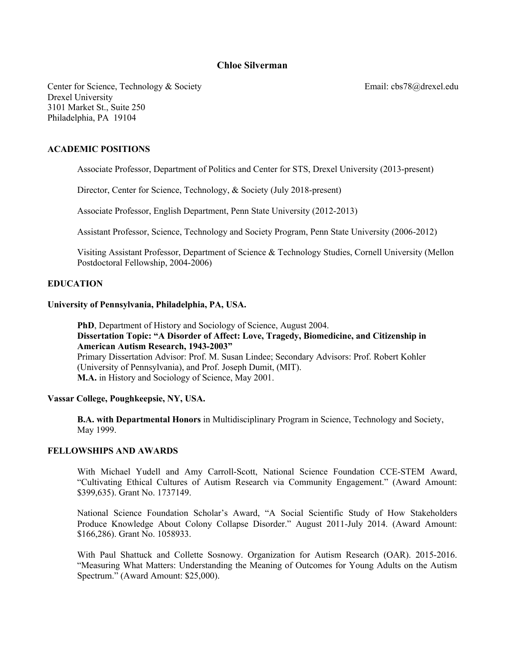# **Chloe Silverman**

Center for Science, Technology & Society Email: cbs78@drexel.edu Drexel University 3101 Market St., Suite 250 Philadelphia, PA 19104

## **ACADEMIC POSITIONS**

Associate Professor, Department of Politics and Center for STS, Drexel University (2013-present)

Director, Center for Science, Technology, & Society (July 2018-present)

Associate Professor, English Department, Penn State University (2012-2013)

Assistant Professor, Science, Technology and Society Program, Penn State University (2006-2012)

Visiting Assistant Professor, Department of Science & Technology Studies, Cornell University (Mellon Postdoctoral Fellowship, 2004-2006)

### **EDUCATION**

#### **University of Pennsylvania, Philadelphia, PA, USA.**

**PhD**, Department of History and Sociology of Science, August 2004. **Dissertation Topic: "A Disorder of Affect: Love, Tragedy, Biomedicine, and Citizenship in American Autism Research, 1943-2003"** Primary Dissertation Advisor: Prof. M. Susan Lindee; Secondary Advisors: Prof. Robert Kohler (University of Pennsylvania), and Prof. Joseph Dumit, (MIT). **M.A.** in History and Sociology of Science, May 2001.

#### **Vassar College, Poughkeepsie, NY, USA.**

**B.A. with Departmental Honors** in Multidisciplinary Program in Science, Technology and Society, May 1999.

#### **FELLOWSHIPS AND AWARDS**

With Michael Yudell and Amy Carroll-Scott, National Science Foundation CCE-STEM Award, "Cultivating Ethical Cultures of Autism Research via Community Engagement." (Award Amount: \$399,635). Grant No. 1737149.

National Science Foundation Scholar's Award, "A Social Scientific Study of How Stakeholders Produce Knowledge About Colony Collapse Disorder." August 2011-July 2014. (Award Amount: \$166,286). Grant No. 1058933.

With Paul Shattuck and Collette Sosnowy. Organization for Autism Research (OAR). 2015-2016. "Measuring What Matters: Understanding the Meaning of Outcomes for Young Adults on the Autism Spectrum." (Award Amount: \$25,000).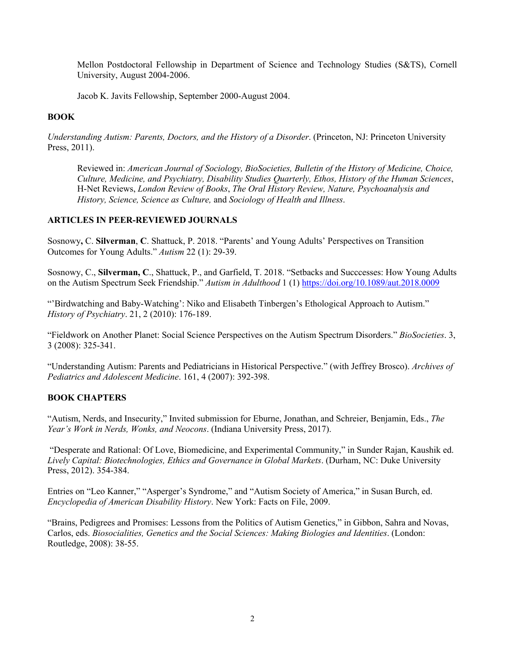Mellon Postdoctoral Fellowship in Department of Science and Technology Studies (S&TS), Cornell University, August 2004-2006.

Jacob K. Javits Fellowship, September 2000-August 2004.

### **BOOK**

*Understanding Autism: Parents, Doctors, and the History of a Disorder*. (Princeton, NJ: Princeton University Press, 2011).

Reviewed in: *American Journal of Sociology, BioSocieties, Bulletin of the History of Medicine, Choice, Culture, Medicine, and Psychiatry, Disability Studies Quarterly, Ethos, History of the Human Sciences*, H-Net Reviews, *London Review of Books*, *The Oral History Review, Nature, Psychoanalysis and History, Science, Science as Culture,* and *Sociology of Health and Illness*.

## **ARTICLES IN PEER-REVIEWED JOURNALS**

Sosnowy**,** C. **Silverman**, **C**. Shattuck, P. 2018. "Parents' and Young Adults' Perspectives on Transition Outcomes for Young Adults." *Autism* 22 (1): 29-39.

Sosnowy, C., **Silverman, C**., Shattuck, P., and Garfield, T. 2018. "Setbacks and Succcesses: How Young Adults on the Autism Spectrum Seek Friendship." *Autism in Adulthood* 1 (1) https://doi.org/10.1089/aut.2018.0009

"'Birdwatching and Baby-Watching': Niko and Elisabeth Tinbergen's Ethological Approach to Autism." *History of Psychiatry*. 21, 2 (2010): 176-189.

"Fieldwork on Another Planet: Social Science Perspectives on the Autism Spectrum Disorders." *BioSocieties*. 3, 3 (2008): 325-341.

"Understanding Autism: Parents and Pediatricians in Historical Perspective." (with Jeffrey Brosco). *Archives of Pediatrics and Adolescent Medicine*. 161, 4 (2007): 392-398.

## **BOOK CHAPTERS**

"Autism, Nerds, and Insecurity," Invited submission for Eburne, Jonathan, and Schreier, Benjamin, Eds., *The Year's Work in Nerds, Wonks, and Neocons*. (Indiana University Press, 2017).

"Desperate and Rational: Of Love, Biomedicine, and Experimental Community," in Sunder Rajan, Kaushik ed. *Lively Capital: Biotechnologies, Ethics and Governance in Global Markets*. (Durham, NC: Duke University Press, 2012). 354-384.

Entries on "Leo Kanner," "Asperger's Syndrome," and "Autism Society of America," in Susan Burch, ed. *Encyclopedia of American Disability History*. New York: Facts on File, 2009.

"Brains, Pedigrees and Promises: Lessons from the Politics of Autism Genetics," in Gibbon, Sahra and Novas, Carlos, eds. *Biosocialities, Genetics and the Social Sciences: Making Biologies and Identities*. (London: Routledge, 2008): 38-55.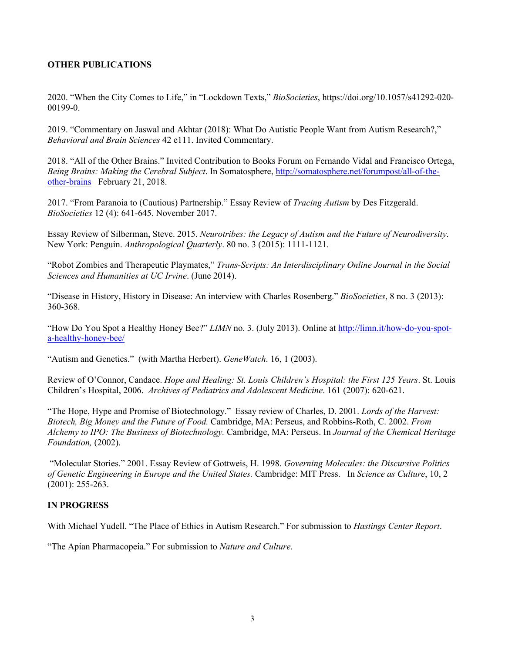## **OTHER PUBLICATIONS**

2020. "When the City Comes to Life," in "Lockdown Texts," *BioSocieties*, https://doi.org/10.1057/s41292-020- 00199-0.

2019. "Commentary on Jaswal and Akhtar (2018): What Do Autistic People Want from Autism Research?," *Behavioral and Brain Sciences* 42 e111. Invited Commentary.

2018. "All of the Other Brains." Invited Contribution to Books Forum on Fernando Vidal and Francisco Ortega, *Being Brains: Making the Cerebral Subject*. In Somatosphere, http://somatosphere.net/forumpost/all-of-theother-brains February 21, 2018.

2017. "From Paranoia to (Cautious) Partnership." Essay Review of *Tracing Autism* by Des Fitzgerald. *BioSocieties* 12 (4): 641-645. November 2017.

Essay Review of Silberman, Steve. 2015. *Neurotribes: the Legacy of Autism and the Future of Neurodiversity*. New York: Penguin. *Anthropological Quarterly*. 80 no. 3 (2015): 1111-1121.

"Robot Zombies and Therapeutic Playmates," *Trans-Scripts: An Interdisciplinary Online Journal in the Social Sciences and Humanities at UC Irvine*. (June 2014).

"Disease in History, History in Disease: An interview with Charles Rosenberg." *BioSocieties*, 8 no. 3 (2013): 360-368.

"How Do You Spot a Healthy Honey Bee?" *LIMN* no. 3. (July 2013). Online at http://limn.it/how-do-you-spota-healthy-honey-bee/

"Autism and Genetics." (with Martha Herbert). *GeneWatch*. 16, 1 (2003).

Review of O'Connor, Candace. *Hope and Healing: St. Louis Children's Hospital: the First 125 Years*. St. Louis Children's Hospital, 2006. *Archives of Pediatrics and Adolescent Medicine*. 161 (2007): 620-621.

"The Hope, Hype and Promise of Biotechnology." Essay review of Charles, D. 2001. *Lords of the Harvest: Biotech, Big Money and the Future of Food.* Cambridge, MA: Perseus, and Robbins-Roth, C. 2002. *From Alchemy to IPO: The Business of Biotechnology.* Cambridge, MA: Perseus. In *Journal of the Chemical Heritage Foundation,* (2002).

"Molecular Stories." 2001. Essay Review of Gottweis, H. 1998. *Governing Molecules: the Discursive Politics of Genetic Engineering in Europe and the United States.* Cambridge: MIT Press. In *Science as Culture*, 10, 2 (2001): 255-263.

## **IN PROGRESS**

With Michael Yudell. "The Place of Ethics in Autism Research." For submission to *Hastings Center Report*.

"The Apian Pharmacopeia." For submission to *Nature and Culture*.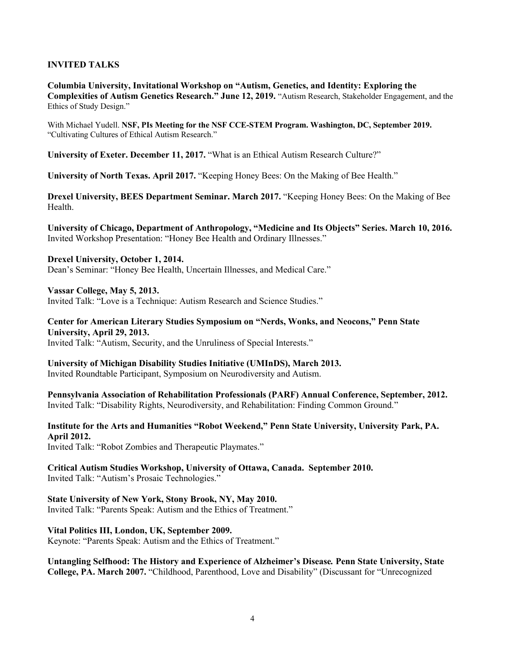## **INVITED TALKS**

**Columbia University, Invitational Workshop on "Autism, Genetics, and Identity: Exploring the Complexities of Autism Genetics Research." June 12, 2019.** "Autism Research, Stakeholder Engagement, and the Ethics of Study Design."

With Michael Yudell. **NSF, PIs Meeting for the NSF CCE-STEM Program. Washington, DC, September 2019.**  "Cultivating Cultures of Ethical Autism Research."

**University of Exeter. December 11, 2017.** "What is an Ethical Autism Research Culture?"

**University of North Texas. April 2017.** "Keeping Honey Bees: On the Making of Bee Health."

**Drexel University, BEES Department Seminar. March 2017.** "Keeping Honey Bees: On the Making of Bee Health.

**University of Chicago, Department of Anthropology, "Medicine and Its Objects" Series. March 10, 2016.**  Invited Workshop Presentation: "Honey Bee Health and Ordinary Illnesses."

**Drexel University, October 1, 2014.**  Dean's Seminar: "Honey Bee Health, Uncertain Illnesses, and Medical Care."

**Vassar College, May 5, 2013.**  Invited Talk: "Love is a Technique: Autism Research and Science Studies."

**Center for American Literary Studies Symposium on "Nerds, Wonks, and Neocons," Penn State University, April 29, 2013.** 

Invited Talk: "Autism, Security, and the Unruliness of Special Interests."

**University of Michigan Disability Studies Initiative (UMInDS), March 2013.**  Invited Roundtable Participant, Symposium on Neurodiversity and Autism.

**Pennsylvania Association of Rehabilitation Professionals (PARF) Annual Conference, September, 2012.**  Invited Talk: "Disability Rights, Neurodiversity, and Rehabilitation: Finding Common Ground."

**Institute for the Arts and Humanities "Robot Weekend," Penn State University, University Park, PA. April 2012.**

Invited Talk: "Robot Zombies and Therapeutic Playmates."

**Critical Autism Studies Workshop, University of Ottawa, Canada. September 2010.** Invited Talk: "Autism's Prosaic Technologies."

**State University of New York, Stony Brook, NY, May 2010.**  Invited Talk: "Parents Speak: Autism and the Ethics of Treatment."

**Vital Politics III, London, UK, September 2009.**  Keynote: "Parents Speak: Autism and the Ethics of Treatment."

**Untangling Selfhood: The History and Experience of Alzheimer's Disease***.* **Penn State University, State College, PA. March 2007.** "Childhood, Parenthood, Love and Disability" (Discussant for "Unrecognized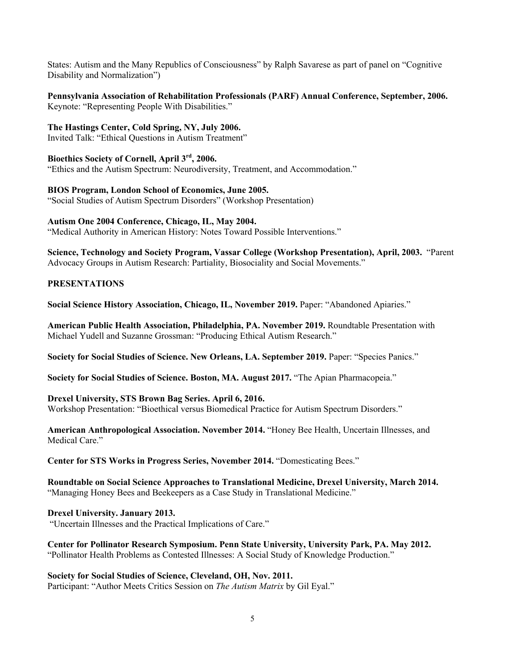States: Autism and the Many Republics of Consciousness" by Ralph Savarese as part of panel on "Cognitive Disability and Normalization")

### **Pennsylvania Association of Rehabilitation Professionals (PARF) Annual Conference, September, 2006.**  Keynote: "Representing People With Disabilities."

**The Hastings Center, Cold Spring, NY, July 2006.**

Invited Talk: "Ethical Questions in Autism Treatment"

**Bioethics Society of Cornell, April 3rd, 2006.** 

"Ethics and the Autism Spectrum: Neurodiversity, Treatment, and Accommodation."

**BIOS Program, London School of Economics, June 2005.** 

"Social Studies of Autism Spectrum Disorders" (Workshop Presentation)

## **Autism One 2004 Conference, Chicago, IL, May 2004.**

"Medical Authority in American History: Notes Toward Possible Interventions."

**Science, Technology and Society Program, Vassar College (Workshop Presentation), April, 2003.** "Parent Advocacy Groups in Autism Research: Partiality, Biosociality and Social Movements."

# **PRESENTATIONS**

**Social Science History Association, Chicago, IL, November 2019.** Paper: "Abandoned Apiaries."

**American Public Health Association, Philadelphia, PA. November 2019.** Roundtable Presentation with Michael Yudell and Suzanne Grossman: "Producing Ethical Autism Research."

**Society for Social Studies of Science. New Orleans, LA. September 2019.** Paper: "Species Panics."

**Society for Social Studies of Science. Boston, MA. August 2017.** "The Apian Pharmacopeia."

# **Drexel University, STS Brown Bag Series. April 6, 2016.**

Workshop Presentation: "Bioethical versus Biomedical Practice for Autism Spectrum Disorders."

**American Anthropological Association. November 2014.** "Honey Bee Health, Uncertain Illnesses, and Medical Care."

**Center for STS Works in Progress Series, November 2014.** "Domesticating Bees."

**Roundtable on Social Science Approaches to Translational Medicine, Drexel University, March 2014.** "Managing Honey Bees and Beekeepers as a Case Study in Translational Medicine."

**Drexel University. January 2013.** "Uncertain Illnesses and the Practical Implications of Care."

**Center for Pollinator Research Symposium. Penn State University, University Park, PA. May 2012.**  "Pollinator Health Problems as Contested Illnesses: A Social Study of Knowledge Production."

**Society for Social Studies of Science, Cleveland, OH, Nov. 2011.**  Participant: "Author Meets Critics Session on *The Autism Matrix* by Gil Eyal."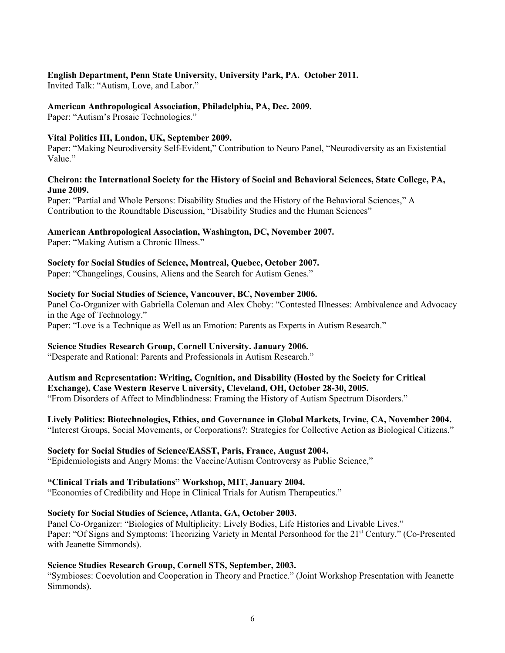## **English Department, Penn State University, University Park, PA. October 2011.**

Invited Talk: "Autism, Love, and Labor."

## **American Anthropological Association, Philadelphia, PA, Dec. 2009.**

Paper: "Autism's Prosaic Technologies."

## **Vital Politics III, London, UK, September 2009.**

Paper: "Making Neurodiversity Self-Evident," Contribution to Neuro Panel, "Neurodiversity as an Existential Value."

## **Cheiron: the International Society for the History of Social and Behavioral Sciences, State College, PA, June 2009.**

Paper: "Partial and Whole Persons: Disability Studies and the History of the Behavioral Sciences," A Contribution to the Roundtable Discussion, "Disability Studies and the Human Sciences"

## **American Anthropological Association, Washington, DC, November 2007.**

Paper: "Making Autism a Chronic Illness."

## **Society for Social Studies of Science, Montreal, Quebec, October 2007.**

Paper: "Changelings, Cousins, Aliens and the Search for Autism Genes."

## **Society for Social Studies of Science, Vancouver, BC, November 2006.**

Panel Co-Organizer with Gabriella Coleman and Alex Choby: "Contested Illnesses: Ambivalence and Advocacy in the Age of Technology."

Paper: "Love is a Technique as Well as an Emotion: Parents as Experts in Autism Research."

## **Science Studies Research Group, Cornell University. January 2006.**

"Desperate and Rational: Parents and Professionals in Autism Research."

#### **Autism and Representation: Writing, Cognition, and Disability (Hosted by the Society for Critical Exchange), Case Western Reserve University, Cleveland, OH, October 28-30, 2005.**

"From Disorders of Affect to Mindblindness: Framing the History of Autism Spectrum Disorders."

## **Lively Politics: Biotechnologies, Ethics, and Governance in Global Markets, Irvine, CA, November 2004.**

"Interest Groups, Social Movements, or Corporations?: Strategies for Collective Action as Biological Citizens."

## **Society for Social Studies of Science/EASST, Paris, France, August 2004.**

"Epidemiologists and Angry Moms: the Vaccine/Autism Controversy as Public Science,"

## **"Clinical Trials and Tribulations" Workshop, MIT, January 2004.**

"Economies of Credibility and Hope in Clinical Trials for Autism Therapeutics."

## **Society for Social Studies of Science, Atlanta, GA, October 2003.**

Panel Co-Organizer: "Biologies of Multiplicity: Lively Bodies, Life Histories and Livable Lives." Paper: "Of Signs and Symptoms: Theorizing Variety in Mental Personhood for the 21<sup>st</sup> Century." (Co-Presented with Jeanette Simmonds).

## **Science Studies Research Group, Cornell STS, September, 2003.**

"Symbioses: Coevolution and Cooperation in Theory and Practice." (Joint Workshop Presentation with Jeanette Simmonds).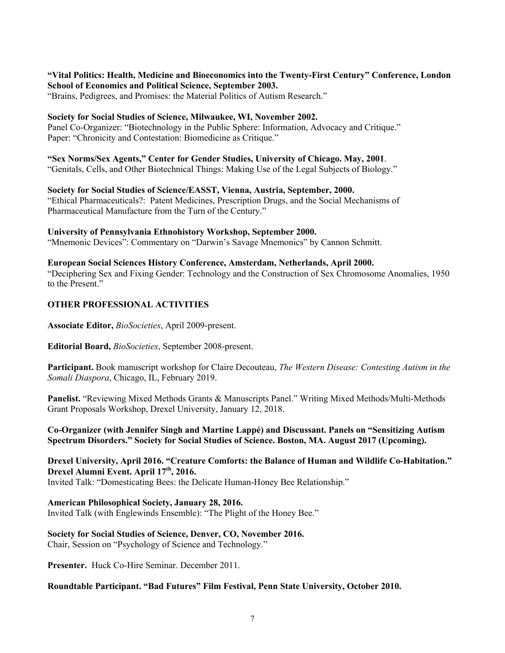## **"Vital Politics: Health, Medicine and Bioeconomics into the Twenty-First Century" Conference, London School of Economics and Political Science, September 2003.**

"Brains, Pedigrees, and Promises: the Material Politics of Autism Research."

## **Society for Social Studies of Science, Milwaukee, WI, November 2002.**

Panel Co-Organizer: "Biotechnology in the Public Sphere: Information, Advocacy and Critique." Paper: "Chronicity and Contestation: Biomedicine as Critique."

**"Sex Norms/Sex Agents," Center for Gender Studies, University of Chicago. May, 2001**. "Genitals, Cells, and Other Biotechnical Things: Making Use of the Legal Subjects of Biology."

## **Society for Social Studies of Science/EASST, Vienna, Austria, September, 2000.**

"Ethical Pharmaceuticals?: Patent Medicines, Prescription Drugs, and the Social Mechanisms of Pharmaceutical Manufacture from the Turn of the Century."

#### **University of Pennsylvania Ethnohistory Workshop, September 2000.**

"Mnemonic Devices": Commentary on "Darwin's Savage Mnemonics" by Cannon Schmitt.

### **European Social Sciences History Conference, Amsterdam, Netherlands, April 2000.**

"Deciphering Sex and Fixing Gender: Technology and the Construction of Sex Chromosome Anomalies, 1950 to the Present."

### **OTHER PROFESSIONAL ACTIVITIES**

**Associate Editor,** *BioSocieties*, April 2009-present.

**Editorial Board,** *BioSocieties*, September 2008-present.

**Participant.** Book manuscript workshop for Claire Decouteau, *The Western Disease: Contesting Autism in the Somali Diaspora*, Chicago, IL, February 2019.

**Panelist.** "Reviewing Mixed Methods Grants & Manuscripts Panel." Writing Mixed Methods/Multi-Methods Grant Proposals Workshop, Drexel University, January 12, 2018.

**Co-Organizer (with Jennifer Singh and Martine Lappé) and Discussant. Panels on "Sensitizing Autism Spectrum Disorders." Society for Social Studies of Science. Boston, MA. August 2017 (Upcoming).**

# **Drexel University, April 2016. "Creature Comforts: the Balance of Human and Wildlife Co-Habitation."**  Drexel Alumni Event. April 17<sup>th</sup>, 2016.

Invited Talk: "Domesticating Bees: the Delicate Human-Honey Bee Relationship."

## **American Philosophical Society, January 28, 2016.**

Invited Talk (with Englewinds Ensemble): "The Plight of the Honey Bee."

## **Society for Social Studies of Science, Denver, CO, November 2016.**  Chair, Session on "Psychology of Science and Technology."

**Presenter.** Huck Co-Hire Seminar. December 2011.

## **Roundtable Participant. "Bad Futures" Film Festival, Penn State University, October 2010.**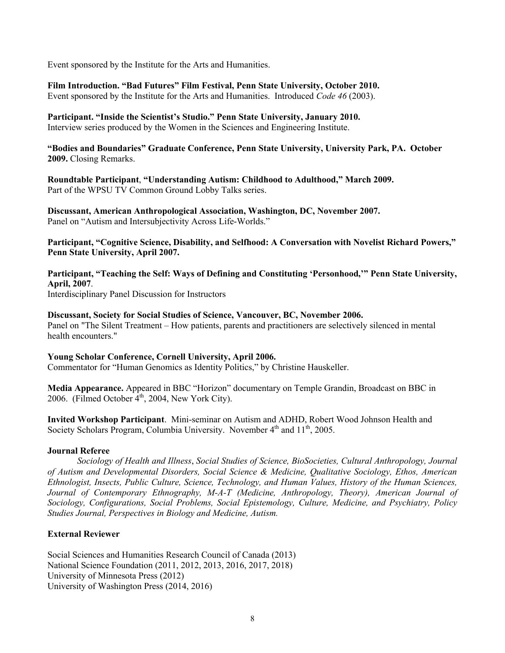Event sponsored by the Institute for the Arts and Humanities.

**Film Introduction. "Bad Futures" Film Festival, Penn State University, October 2010.**

Event sponsored by the Institute for the Arts and Humanities. Introduced *Code 46* (2003).

**Participant. "Inside the Scientist's Studio." Penn State University, January 2010.**  Interview series produced by the Women in the Sciences and Engineering Institute.

**"Bodies and Boundaries" Graduate Conference, Penn State University, University Park, PA. October 2009.** Closing Remarks.

**Roundtable Participant**, **"Understanding Autism: Childhood to Adulthood," March 2009.** Part of the WPSU TV Common Ground Lobby Talks series.

**Discussant, American Anthropological Association, Washington, DC, November 2007.**  Panel on "Autism and Intersubjectivity Across Life-Worlds."

**Participant, "Cognitive Science, Disability, and Selfhood: A Conversation with Novelist Richard Powers," Penn State University, April 2007.** 

**Participant, "Teaching the Self: Ways of Defining and Constituting 'Personhood,'" Penn State University, April, 2007**.

Interdisciplinary Panel Discussion for Instructors

**Discussant, Society for Social Studies of Science, Vancouver, BC, November 2006.**  Panel on "The Silent Treatment – How patients, parents and practitioners are selectively silenced in mental health encounters."

#### **Young Scholar Conference, Cornell University, April 2006.**

Commentator for "Human Genomics as Identity Politics," by Christine Hauskeller.

**Media Appearance.** Appeared in BBC "Horizon" documentary on Temple Grandin, Broadcast on BBC in 2006. (Filmed October  $4<sup>th</sup>$ , 2004, New York City).

**Invited Workshop Participant**. Mini-seminar on Autism and ADHD, Robert Wood Johnson Health and Society Scholars Program, Columbia University. November  $4<sup>th</sup>$  and  $11<sup>th</sup>$ , 2005.

#### **Journal Referee**

*Sociology of Health and Illness*, *Social Studies of Science, BioSocieties, Cultural Anthropology, Journal of Autism and Developmental Disorders, Social Science & Medicine, Qualitative Sociology, Ethos, American Ethnologist, Insects, Public Culture, Science, Technology, and Human Values, History of the Human Sciences, Journal of Contemporary Ethnography, M-A-T (Medicine, Anthropology, Theory), American Journal of Sociology, Configurations, Social Problems, Social Epistemology, Culture, Medicine, and Psychiatry, Policy Studies Journal, Perspectives in Biology and Medicine, Autism.* 

## **External Reviewer**

Social Sciences and Humanities Research Council of Canada (2013) National Science Foundation (2011, 2012, 2013, 2016, 2017, 2018) University of Minnesota Press (2012) University of Washington Press (2014, 2016)